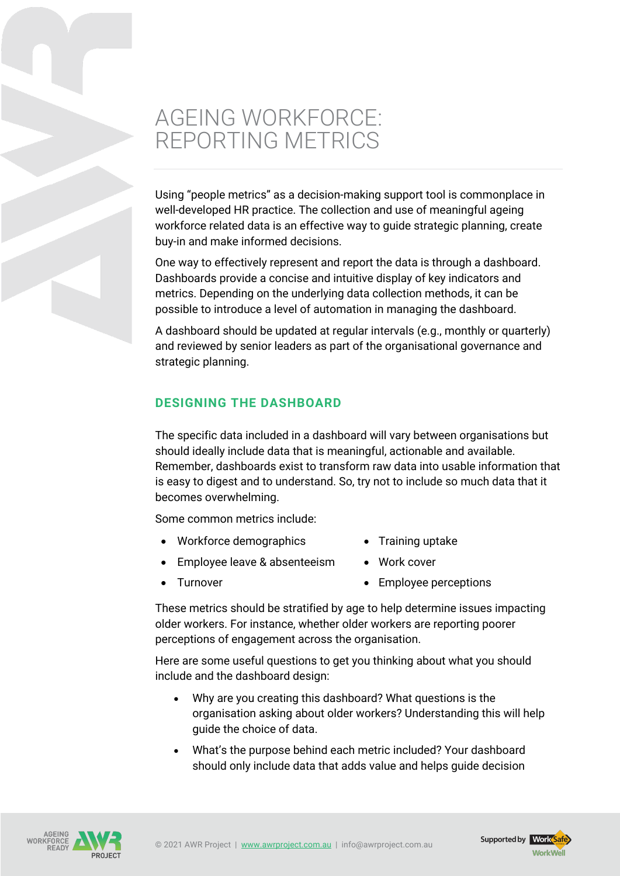## AGEING WORKFORCE: REPORTING METRICS

Using "people metrics" as a decision-making support tool is commonplace in well-developed HR practice. The collection and use of meaningful ageing workforce related data is an effective way to guide strategic planning, create buy-in and make informed decisions.

One way to effectively represent and report the data is through a dashboard. Dashboards provide a concise and intuitive display of key indicators and metrics. Depending on the underlying data collection methods, it can be possible to introduce a level of automation in managing the dashboard.

A dashboard should be updated at regular intervals (e.g., monthly or quarterly) and reviewed by senior leaders as part of the organisational governance and strategic planning.

## **DESIGNING THE DASHBOARD**

The specific data included in a dashboard will vary between organisations but should ideally include data that is meaningful, actionable and available. Remember, dashboards exist to transform raw data into usable information that is easy to digest and to understand. So, try not to include so much data that it becomes overwhelming.

Some common metrics include:

- Workforce demographics Training uptake
- Employee leave & absenteeism Work cover
- 
- Turnover Complete Perceptions

These metrics should be stratified by age to help determine issues impacting older workers. For instance, whether older workers are reporting poorer perceptions of engagement across the organisation.

Here are some useful questions to get you thinking about what you should include and the dashboard design:

- Why are you creating this dashboard? What questions is the organisation asking about older workers? Understanding this will help guide the choice of data.
- What's the purpose behind each metric included? Your dashboard should only include data that adds value and helps guide decision



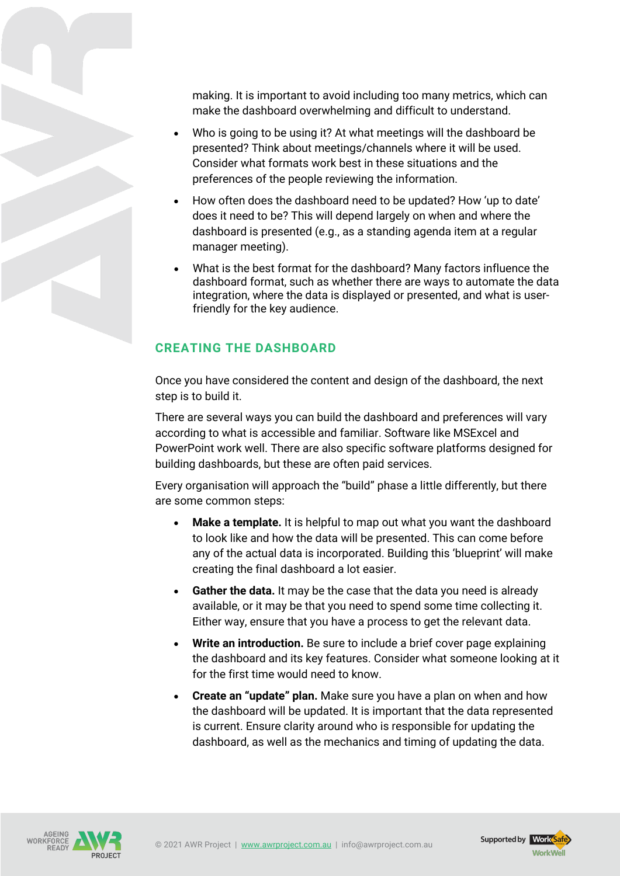making. It is important to avoid including too many metrics, which can make the dashboard overwhelming and difficult to understand.

- Who is going to be using it? At what meetings will the dashboard be presented? Think about meetings/channels where it will be used. Consider what formats work best in these situations and the preferences of the people reviewing the information.
- How often does the dashboard need to be updated? How 'up to date' does it need to be? This will depend largely on when and where the dashboard is presented (e.g., as a standing agenda item at a regular manager meeting).
- What is the best format for the dashboard? Many factors influence the dashboard format, such as whether there are ways to automate the data integration, where the data is displayed or presented, and what is userfriendly for the key audience.

## **CREATING THE DASHBOARD**

Once you have considered the content and design of the dashboard, the next step is to build it.

There are several ways you can build the dashboard and preferences will vary according to what is accessible and familiar. Software like MSExcel and PowerPoint work well. There are also specific software platforms designed for building dashboards, but these are often paid services.

Every organisation will approach the "build" phase a little differently, but there are some common steps:

- **Make a template.** It is helpful to map out what you want the dashboard to look like and how the data will be presented. This can come before any of the actual data is incorporated. Building this 'blueprint' will make creating the final dashboard a lot easier.
- **Gather the data.** It may be the case that the data you need is already available, or it may be that you need to spend some time collecting it. Either way, ensure that you have a process to get the relevant data.
- **Write an introduction.** Be sure to include a brief cover page explaining the dashboard and its key features. Consider what someone looking at it for the first time would need to know.
- **Create an "update" plan.** Make sure you have a plan on when and how the dashboard will be updated. It is important that the data represented is current. Ensure clarity around who is responsible for updating the dashboard, as well as the mechanics and timing of updating the data.